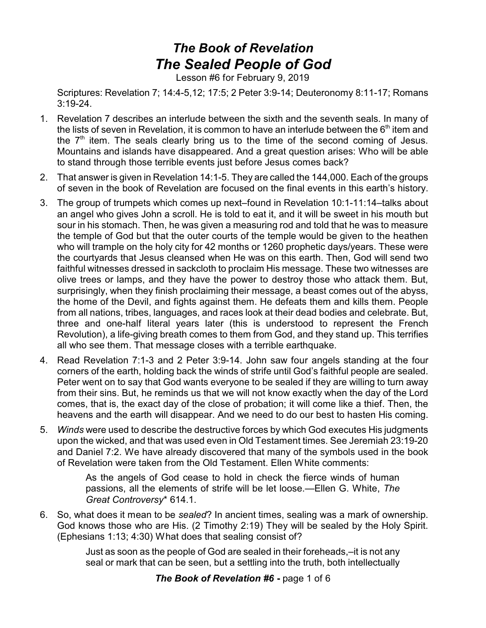## *The Book of Revelation The Sealed People of God*

Lesson #6 for February 9, 2019

Scriptures: Revelation 7; 14:4-5,12; 17:5; 2 Peter 3:9-14; Deuteronomy 8:11-17; Romans 3:19-24.

- 1. Revelation 7 describes an interlude between the sixth and the seventh seals. In many of the lists of seven in Revelation, it is common to have an interlude between the  $6<sup>th</sup>$  item and the  $7<sup>th</sup>$  item. The seals clearly bring us to the time of the second coming of Jesus. Mountains and islands have disappeared. And a great question arises: Who will be able to stand through those terrible events just before Jesus comes back?
- 2. That answer is given in Revelation 14:1-5. They are called the 144,000. Each of the groups of seven in the book of Revelation are focused on the final events in this earth's history.
- 3. The group of trumpets which comes up next–found in Revelation 10:1-11:14–talks about an angel who gives John a scroll. He is told to eat it, and it will be sweet in his mouth but sour in his stomach. Then, he was given a measuring rod and told that he was to measure the temple of God but that the outer courts of the temple would be given to the heathen who will trample on the holy city for 42 months or 1260 prophetic days/years. These were the courtyards that Jesus cleansed when He was on this earth. Then, God will send two faithful witnesses dressed in sackcloth to proclaim His message. These two witnesses are olive trees or lamps, and they have the power to destroy those who attack them. But, surprisingly, when they finish proclaiming their message, a beast comes out of the abyss, the home of the Devil, and fights against them. He defeats them and kills them. People from all nations, tribes, languages, and races look at their dead bodies and celebrate. But, three and one-half literal years later (this is understood to represent the French Revolution), a life-giving breath comes to them from God, and they stand up. This terrifies all who see them. That message closes with a terrible earthquake.
- 4. Read Revelation 7:1-3 and 2 Peter 3:9-14. John saw four angels standing at the four corners of the earth, holding back the winds of strife until God's faithful people are sealed. Peter went on to say that God wants everyone to be sealed if they are willing to turn away from their sins. But, he reminds us that we will not know exactly when the day of the Lord comes, that is, the exact day of the close of probation; it will come like a thief. Then, the heavens and the earth will disappear. And we need to do our best to hasten His coming.
- 5. *Winds* were used to describe the destructive forces by which God executes His judgments upon the wicked, and that was used even in Old Testament times. See Jeremiah 23:19-20 and Daniel 7:2. We have already discovered that many of the symbols used in the book of Revelation were taken from the Old Testament. Ellen White comments:

As the angels of God cease to hold in check the fierce winds of human passions, all the elements of strife will be let loose.—Ellen G. White, *The Great Controversy*\* 614.1.

6. So, what does it mean to be *sealed*? In ancient times, sealing was a mark of ownership. God knows those who are His. (2 Timothy 2:19) They will be sealed by the Holy Spirit. (Ephesians 1:13; 4:30) What does that sealing consist of?

> Just as soon as the people of God are sealed in their foreheads,–it is not any seal or mark that can be seen, but a settling into the truth, both intellectually

## **The Book of Revelation #6** - page 1 of 6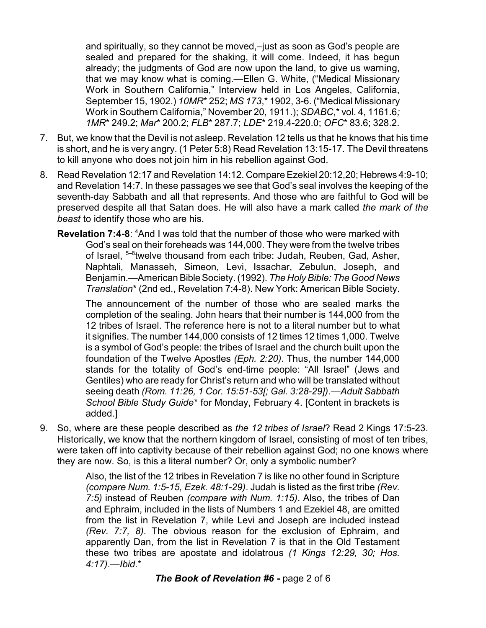and spiritually, so they cannot be moved,–just as soon as God's people are sealed and prepared for the shaking, it will come. Indeed, it has begun already; the judgments of God are now upon the land, to give us warning, that we may know what is coming.—Ellen G. White, ("Medical Missionary Work in Southern California," Interview held in Los Angeles, California, September 15, 1902.) *10MR*\* 252; *MS 173*,\* 1902, 3-6. ("Medical Missionary Work in Southern California," November 20, 1911.); *SDABC*,\* vol. 4, 1161.6*; 1MR*\* 249.2; *Mar*\* 200.2; *FLB*\* 287.7; *LDE*\* 219.4-220.0; *OFC*\* 83.6; 328.2.

- 7. But, we know that the Devil is not asleep. Revelation 12 tells us that he knows that his time is short, and he is very angry. (1 Peter 5:8) Read Revelation 13:15-17. The Devil threatens to kill anyone who does not join him in his rebellion against God.
- 8. Read Revelation 12:17 and Revelation 14:12. Compare Ezekiel 20:12,20; Hebrews 4:9-10; and Revelation 14:7. In these passages we see that God's seal involves the keeping of the seventh-day Sabbath and all that represents. And those who are faithful to God will be preserved despite all that Satan does. He will also have a mark called *the mark of the beast* to identify those who are his.
	- **Revelation 7:4-8:** <sup>4</sup>And I was told that the number of those who were marked with God's seal on their foreheads was 144,000. They were from the twelve tribes of Israel, <sup>5-8</sup>twelve thousand from each tribe: Judah, Reuben, Gad, Asher, Naphtali, Manasseh, Simeon, Levi, Issachar, Zebulun, Joseph, and Benjamin.—American BibleSociety. (1992). *The Holy Bible: The Good News Translation*\* (2nd ed., Revelation 7:4-8). New York: American Bible Society.

The announcement of the number of those who are sealed marks the completion of the sealing. John hears that their number is 144,000 from the 12 tribes of Israel. The reference here is not to a literal number but to what it signifies. The number 144,000 consists of 12 times 12 times 1,000. Twelve is a symbol of God's people: the tribes of Israel and the church built upon the foundation of the Twelve Apostles *(Eph. 2:20)*. Thus, the number 144,000 stands for the totality of God's end-time people: "All Israel" (Jews and Gentiles) who are ready for Christ's return and who will be translated without seeing death *(Rom. 11:26, 1 Cor. 15:51-53[; Gal. 3:28-29])*.—*Adult Sabbath School Bible Study Guide*\* for Monday, February 4. [Content in brackets is added.]

9. So, where are these people described as *the 12 tribes of Israel*? Read 2 Kings 17:5-23. Historically, we know that the northern kingdom of Israel, consisting of most of ten tribes, were taken off into captivity because of their rebellion against God; no one knows where they are now. So, is this a literal number? Or, only a symbolic number?

> Also, the list of the 12 tribes in Revelation 7 is like no other found in Scripture *(compare Num. 1:5-15, Ezek. 48:1-29)*. Judah is listed as the first tribe *(Rev. 7:5)* instead of Reuben *(compare with Num. 1:15)*. Also, the tribes of Dan and Ephraim, included in the lists of Numbers 1 and Ezekiel 48, are omitted from the list in Revelation 7, while Levi and Joseph are included instead *(Rev. 7:7, 8)*. The obvious reason for the exclusion of Ephraim, and apparently Dan, from the list in Revelation 7 is that in the Old Testament these two tribes are apostate and idolatrous *(1 Kings 12:29, 30; Hos. 4:17)*.—*Ibid*.\*

> > **The Book of Revelation #6** - page 2 of 6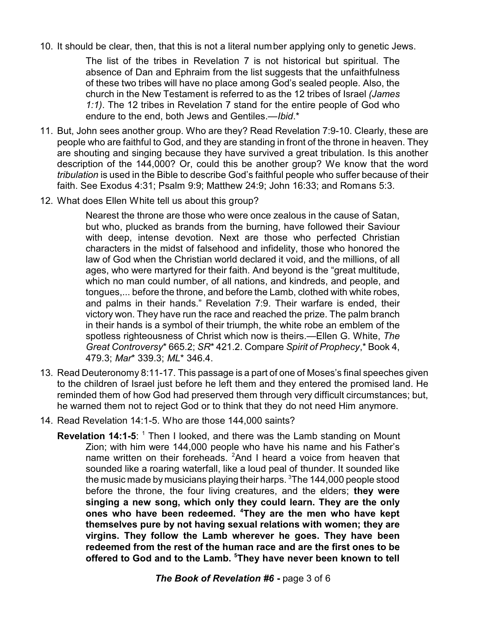10. It should be clear, then, that this is not a literal number applying only to genetic Jews.

The list of the tribes in Revelation 7 is not historical but spiritual. The absence of Dan and Ephraim from the list suggests that the unfaithfulness of these two tribes will have no place among God's sealed people. Also, the church in the New Testament is referred to as the 12 tribes of Israel *(James 1:1)*. The 12 tribes in Revelation 7 stand for the entire people of God who endure to the end, both Jews and Gentiles.—*Ibid*.\*

- 11. But, John sees another group. Who are they? Read Revelation 7:9-10. Clearly, these are people who are faithful to God, and they are standing in front of the throne in heaven. They are shouting and singing because they have survived a great tribulation. Is this another description of the 144,000? Or, could this be another group? We know that the word *tribulation* is used in the Bible to describe God's faithful people who suffer because of their faith. See Exodus 4:31; Psalm 9:9; Matthew 24:9; John 16:33; and Romans 5:3.
- 12. What does Ellen White tell us about this group?

Nearest the throne are those who were once zealous in the cause of Satan, but who, plucked as brands from the burning, have followed their Saviour with deep, intense devotion. Next are those who perfected Christian characters in the midst of falsehood and infidelity, those who honored the law of God when the Christian world declared it void, and the millions, of all ages, who were martyred for their faith. And beyond is the "great multitude, which no man could number, of all nations, and kindreds, and people, and tongues,... before the throne, and before the Lamb, clothed with white robes, and palms in their hands." Revelation 7:9. Their warfare is ended, their victory won. They have run the race and reached the prize. The palm branch in their hands is a symbol of their triumph, the white robe an emblem of the spotless righteousness of Christ which now is theirs.—Ellen G. White, *The Great Controversy*\* 665.2; *SR*\* 421.2. Compare *Spirit of Prophecy*,\* Book 4, 479.3; *Mar*\* 339.3; *ML*\* 346.4.

- 13. Read Deuteronomy 8:11-17. This passage is a part of one of Moses's final speeches given to the children of Israel just before he left them and they entered the promised land. He reminded them of how God had preserved them through very difficult circumstances; but, he warned them not to reject God or to think that they do not need Him anymore.
- 14. Read Revelation 14:1-5. Who are those 144,000 saints?
	- **Revelation 14:1-5:** <sup>1</sup> Then I looked, and there was the Lamb standing on Mount Zion; with him were 144,000 people who have his name and his Father's name written on their foreheads.  ${}^{2}$ And I heard a voice from heaven that sounded like a roaring waterfall, like a loud peal of thunder. It sounded like the music made by musicians playing their harps.  $3$ The 144,000 people stood before the throne, the four living creatures, and the elders; **they were singing a new song, which only they could learn. They are the only ones who have been redeemed. <sup>4</sup>They are the men who have kept themselves pure by not having sexual relations with women; they are virgins. They follow the Lamb wherever he goes. They have been redeemed from the rest of the human race and are the first ones to be offered to God and to the Lamb. <sup>5</sup>They have never been known to tell**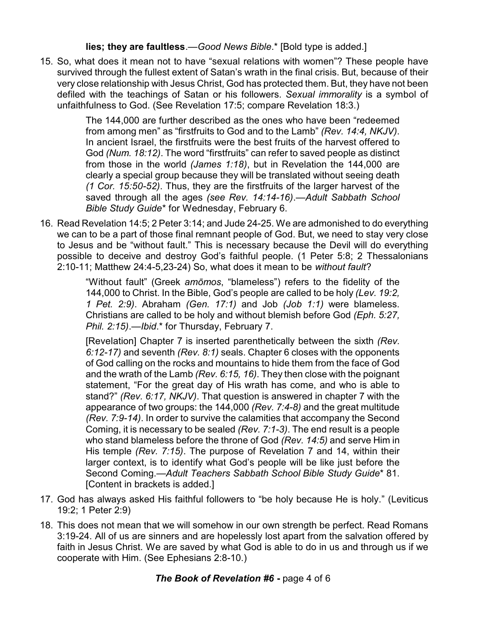**lies; they are faultless**.—*Good News Bible*.\* [Bold type is added.]

15. So, what does it mean not to have "sexual relations with women"? These people have survived through the fullest extent of Satan's wrath in the final crisis. But, because of their very close relationship with Jesus Christ, God has protected them. But, they have not been defiled with the teachings of Satan or his followers. *Sexual immorality* is a symbol of unfaithfulness to God. (See Revelation 17:5; compare Revelation 18:3.)

> The 144,000 are further described as the ones who have been "redeemed from among men" as "firstfruits to God and to the Lamb" *(Rev. 14:4, NKJV)*. In ancient Israel, the firstfruits were the best fruits of the harvest offered to God *(Num. 18:12)*. The word "firstfruits" can refer to saved people as distinct from those in the world *(James 1:18)*, but in Revelation the 144,000 are clearly a special group because they will be translated without seeing death *(1 Cor. 15:50-52)*. Thus, they are the firstfruits of the larger harvest of the saved through all the ages *(see Rev. 14:14-16)*.—*Adult Sabbath School Bible Study Guide*\* for Wednesday, February 6.

16. Read Revelation 14:5; 2 Peter 3:14; and Jude 24-25. We are admonished to do everything we can to be a part of those final remnant people of God. But, we need to stay very close to Jesus and be "without fault." This is necessary because the Devil will do everything possible to deceive and destroy God's faithful people. (1 Peter 5:8; 2 Thessalonians 2:10-11; Matthew 24:4-5,23-24) So, what does it mean to be *without fault*?

> "Without fault" (Greek *amômos*, "blameless") refers to the fidelity of the 144,000 to Christ. In the Bible, God's people are called to be holy *(Lev. 19:2, 1 Pet. 2:9)*. Abraham *(Gen. 17:1)* and Job *(Job 1:1)* were blameless. Christians are called to be holy and without blemish before God *(Eph. 5:27, Phil. 2:15)*.—*Ibid*.\* for Thursday, February 7.

> [Revelation] Chapter 7 is inserted parenthetically between the sixth *(Rev. 6:12-17)* and seventh *(Rev. 8:1)* seals. Chapter 6 closes with the opponents of God calling on the rocks and mountains to hide them from the face of God and the wrath of the Lamb *(Rev. 6:15, 16)*. They then close with the poignant statement, "For the great day of His wrath has come, and who is able to stand?" *(Rev. 6:17, NKJV)*. That question is answered in chapter 7 with the appearance of two groups: the 144,000 *(Rev. 7:4-8)* and the great multitude *(Rev. 7:9-14)*. In order to survive the calamities that accompany the Second Coming, it is necessary to be sealed *(Rev. 7:1-3)*. The end result is a people who stand blameless before the throne of God *(Rev. 14:5)* and serve Him in His temple *(Rev. 7:15)*. The purpose of Revelation 7 and 14, within their larger context, is to identify what God's people will be like just before the Second Coming.—*Adult Teachers Sabbath School Bible Study Guide*\* 81. [Content in brackets is added.]

- 17. God has always asked His faithful followers to "be holy because He is holy." (Leviticus 19:2; 1 Peter 2:9)
- 18. This does not mean that we will somehow in our own strength be perfect. Read Romans 3:19-24. All of us are sinners and are hopelessly lost apart from the salvation offered by faith in Jesus Christ. We are saved by what God is able to do in us and through us if we cooperate with Him. (See Ephesians 2:8-10.)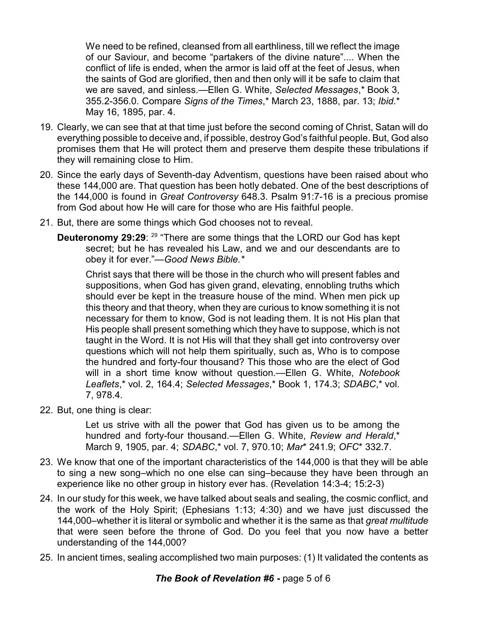We need to be refined, cleansed from all earthliness, till we reflect the image of our Saviour, and become "partakers of the divine nature".... When the conflict of life is ended, when the armor is laid off at the feet of Jesus, when the saints of God are glorified, then and then only will it be safe to claim that we are saved, and sinless.—Ellen G. White, *Selected Messages*,\* Book 3, 355.2-356.0. Compare *Signs of the Times*,\* March 23, 1888, par. 13; *Ibid*.\* May 16, 1895, par. 4.

- 19. Clearly, we can see that at that time just before the second coming of Christ, Satan will do everything possible to deceive and, if possible, destroy God's faithful people. But, God also promises them that He will protect them and preserve them despite these tribulations if they will remaining close to Him.
- 20. Since the early days of Seventh-day Adventism, questions have been raised about who these 144,000 are. That question has been hotly debated. One of the best descriptions of the 144,000 is found in *Great Controversy* 648.3. Psalm 91:7-16 is a precious promise from God about how He will care for those who are His faithful people.
- 21. But, there are some things which God chooses not to reveal.
	- **Deuteronomy 29:29**: <sup>29</sup> "There are some things that the LORD our God has kept secret; but he has revealed his Law, and we and our descendants are to obey it for ever."—*Good News Bible.\**

Christ says that there will be those in the church who will present fables and suppositions, when God has given grand, elevating, ennobling truths which should ever be kept in the treasure house of the mind. When men pick up this theory and that theory, when they are curious to know something it is not necessary for them to know, God is not leading them. It is not His plan that His people shall present something which they have to suppose, which is not taught in the Word. It is not His will that they shall get into controversy over questions which will not help them spiritually, such as, Who is to compose the hundred and forty-four thousand? This those who are the elect of God will in a short time know without question.—Ellen G. White, *Notebook Leaflets*,\* vol. 2, 164.4; *Selected Messages*,\* Book 1, 174.3; *SDABC*,\* vol. 7, 978.4.

22. But, one thing is clear:

Let us strive with all the power that God has given us to be among the hundred and forty-four thousand.—Ellen G. White, *Review and Herald*,\* March 9, 1905, par. 4; *SDABC*,\* vol. 7, 970.10; *Mar*\* 241.9; *OFC*\* 332.7.

- 23. We know that one of the important characteristics of the 144,000 is that they will be able to sing a new song–which no one else can sing–because they have been through an experience like no other group in history ever has. (Revelation 14:3-4; 15:2-3)
- 24. In our study for this week, we have talked about seals and sealing, the cosmic conflict, and the work of the Holy Spirit; (Ephesians 1:13; 4:30) and we have just discussed the 144,000–whether it is literal or symbolic and whether it is the same as that *great multitude* that were seen before the throne of God. Do you feel that you now have a better understanding of the 144,000?
- 25. In ancient times, sealing accomplished two main purposes: (1) It validated the contents as

## **The Book of Revelation #6** - page 5 of 6